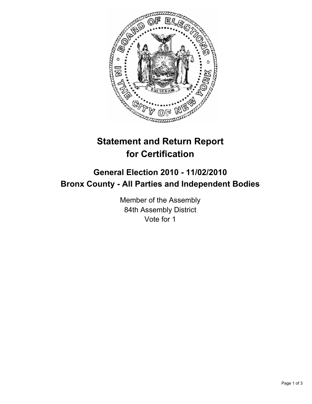

## **Statement and Return Report for Certification**

## **General Election 2010 - 11/02/2010 Bronx County - All Parties and Independent Bodies**

Member of the Assembly 84th Assembly District Vote for 1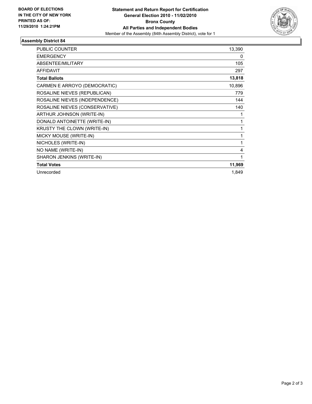

## **Assembly District 84**

| <b>PUBLIC COUNTER</b>          | 13,390 |
|--------------------------------|--------|
| <b>EMERGENCY</b>               | 0      |
| ABSENTEE/MILITARY              | 105    |
| <b>AFFIDAVIT</b>               | 297    |
| <b>Total Ballots</b>           | 13,818 |
| CARMEN E ARROYO (DEMOCRATIC)   | 10,896 |
| ROSALINE NIEVES (REPUBLICAN)   | 779    |
| ROSALINE NIEVES (INDEPENDENCE) | 144    |
| ROSALINE NIEVES (CONSERVATIVE) | 140    |
| ARTHUR JOHNSON (WRITE-IN)      | 1      |
| DONALD ANTOINETTE (WRITE-IN)   | 1      |
| KRUSTY THE CLOWN (WRITE-IN)    | 1      |
| MICKY MOUSE (WRITE-IN)         | 1      |
| NICHOLES (WRITE-IN)            | 1      |
| NO NAME (WRITE-IN)             | 4      |
| SHARON JENKINS (WRITE-IN)      | 1      |
| <b>Total Votes</b>             | 11,969 |
| Unrecorded                     | 1,849  |